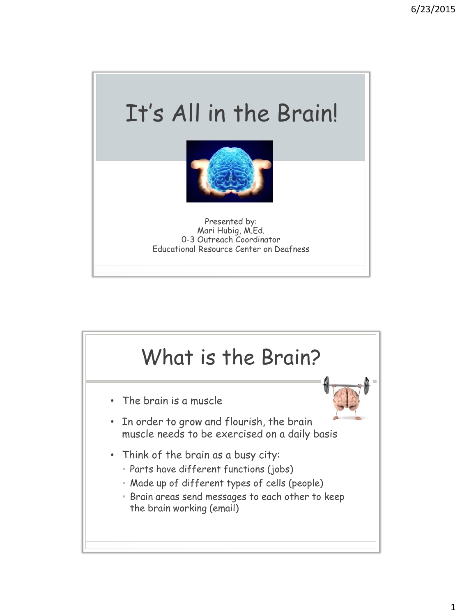

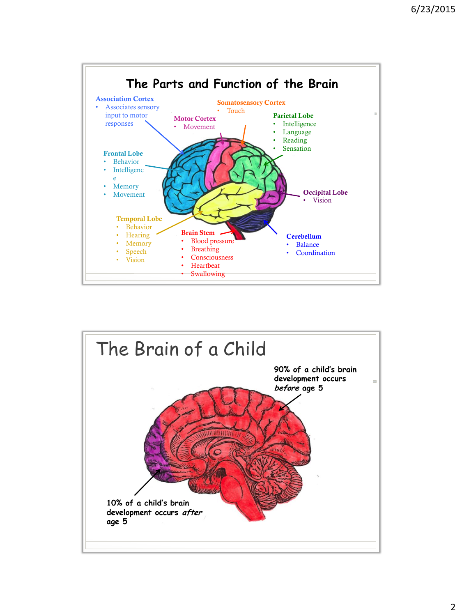

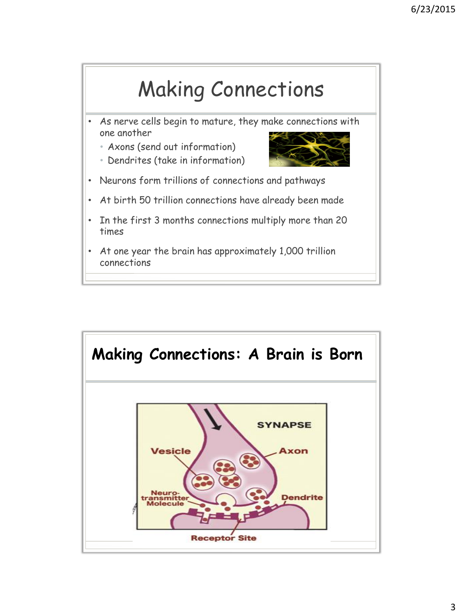

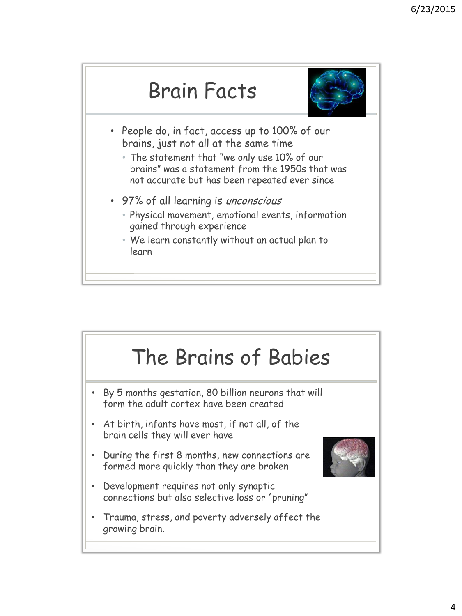



- People do, in fact, access up to 100% of our brains, just not all at the same time
	- The statement that "we only use 10% of our brains" was a statement from the 1950s that was not accurate but has been repeated ever since
- 97% of all learning is *unconscious* 
	- Physical movement, emotional events, information gained through experience
	- We learn constantly without an actual plan to learn

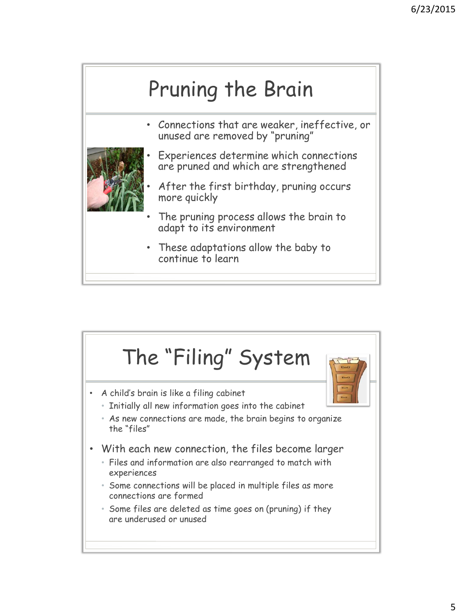

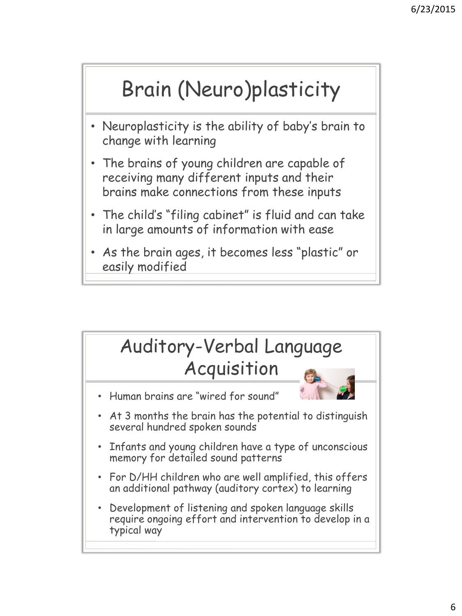## Brain (Neuro)plasticity

- Neuroplasticity is the ability of baby's brain to change with learning
- The brains of young children are capable of receiving many different inputs and their brains make connections from these inputs
- The child's "filing cabinet" is fluid and can take in large amounts of information with ease
- As the brain ages, it becomes less "plastic" or easily modified

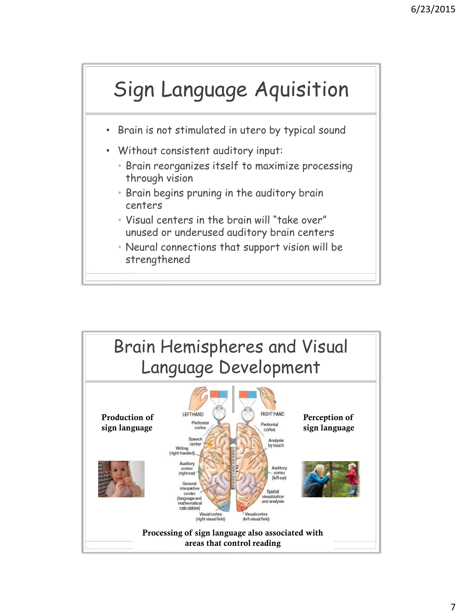

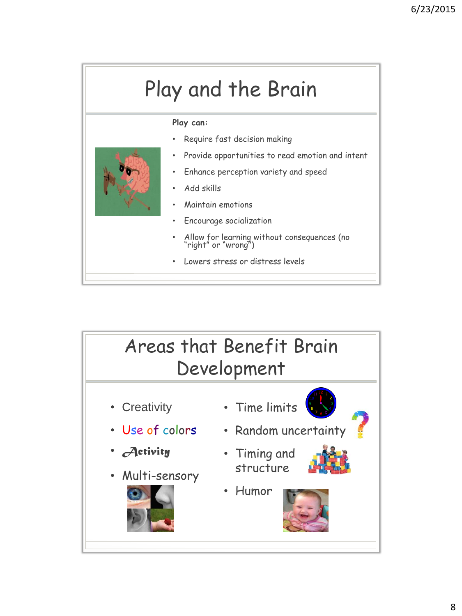## Play and the Brain

## **Play can:**

- Require fast decision making
- Provide opportunities to read emotion and intent
- Enhance perception variety and speed
- Add skills
- Maintain emotions
- Encourage socialization
- Allow for learning without consequences (no "right" or "wrong")
- Lowers stress or distress levels

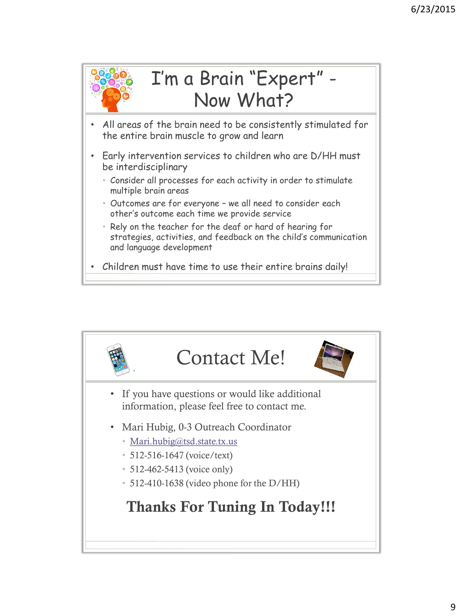